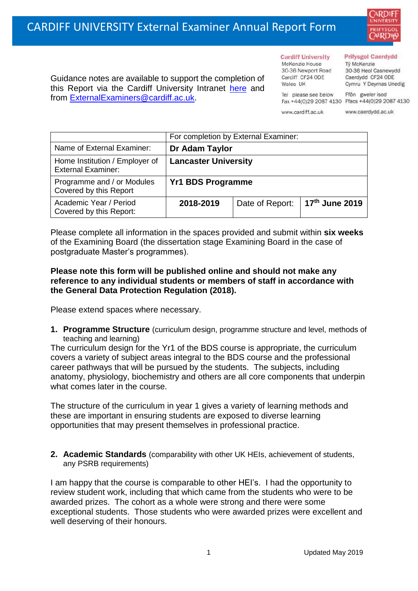

Guidance notes are available to support the completion of this Report via the Cardiff University Intranet [here](https://intranet.cardiff.ac.uk/staff/teaching-and-supporting-students/exams-and-assessment/exam-boards-and-external-examiners/for-current-external-examiners/external-examiners-reports) and from [ExternalExaminers@cardiff.ac.uk.](mailto:ExternalExaminers@cardiff.ac.uk)

**Cardiff University** McKenzie House 30-36 Newport Road Cardiff CF24 ODE

Wales UK

#### **Prifysgol Caerdydd**

Từ McKenzie 30-36 Heol Casnewydd Caerdydd CF24 ODE Cymru Y Deyrnas Unedig

Ffôn gweler isod Fax +44(0)29 2087 4130 Ffacs +44(0)29 2087 4130

www.cardiff.ac.uk

Tel please see below

www.caerdydd.ac.uk

|                                                             | For completion by External Examiner: |                 |                |  |
|-------------------------------------------------------------|--------------------------------------|-----------------|----------------|--|
| Name of External Examiner:                                  | Dr Adam Taylor                       |                 |                |  |
| Home Institution / Employer of<br><b>External Examiner:</b> | <b>Lancaster University</b>          |                 |                |  |
| Programme and / or Modules<br>Covered by this Report        | <b>Yr1 BDS Programme</b>             |                 |                |  |
| Academic Year / Period<br>Covered by this Report:           | 2018-2019                            | Date of Report: | 17th June 2019 |  |

Please complete all information in the spaces provided and submit within **six weeks** of the Examining Board (the dissertation stage Examining Board in the case of postgraduate Master's programmes).

## **Please note this form will be published online and should not make any reference to any individual students or members of staff in accordance with the General Data Protection Regulation (2018).**

Please extend spaces where necessary.

**1. Programme Structure** (curriculum design, programme structure and level, methods of teaching and learning)

The curriculum design for the Yr1 of the BDS course is appropriate, the curriculum covers a variety of subject areas integral to the BDS course and the professional career pathways that will be pursued by the students. The subjects, including anatomy, physiology, biochemistry and others are all core components that underpin what comes later in the course.

The structure of the curriculum in year 1 gives a variety of learning methods and these are important in ensuring students are exposed to diverse learning opportunities that may present themselves in professional practice.

**2. Academic Standards** (comparability with other UK HEIs, achievement of students, any PSRB requirements)

I am happy that the course is comparable to other HEI's. I had the opportunity to review student work, including that which came from the students who were to be awarded prizes. The cohort as a whole were strong and there were some exceptional students. Those students who were awarded prizes were excellent and well deserving of their honours.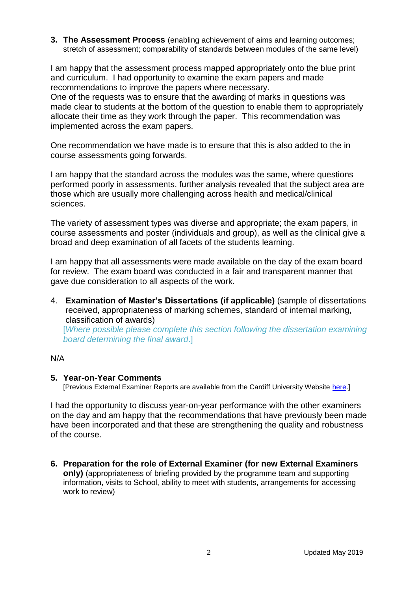#### **3. The Assessment Process** (enabling achievement of aims and learning outcomes; stretch of assessment; comparability of standards between modules of the same level)

I am happy that the assessment process mapped appropriately onto the blue print and curriculum. I had opportunity to examine the exam papers and made recommendations to improve the papers where necessary.

One of the requests was to ensure that the awarding of marks in questions was made clear to students at the bottom of the question to enable them to appropriately allocate their time as they work through the paper. This recommendation was implemented across the exam papers.

One recommendation we have made is to ensure that this is also added to the in course assessments going forwards.

I am happy that the standard across the modules was the same, where questions performed poorly in assessments, further analysis revealed that the subject area are those which are usually more challenging across health and medical/clinical sciences.

The variety of assessment types was diverse and appropriate; the exam papers, in course assessments and poster (individuals and group), as well as the clinical give a broad and deep examination of all facets of the students learning.

I am happy that all assessments were made available on the day of the exam board for review. The exam board was conducted in a fair and transparent manner that gave due consideration to all aspects of the work.

4. **Examination of Master's Dissertations (if applicable)** (sample of dissertations received, appropriateness of marking schemes, standard of internal marking, classification of awards)

[*Where possible please complete this section following the dissertation examining board determining the final award*.]

## N/A

## **5. Year-on-Year Comments**

[Previous External Examiner Reports are available from the Cardiff University Website [here.](https://www.cardiff.ac.uk/public-information/quality-and-standards/external-examiner-reports)]

I had the opportunity to discuss year-on-year performance with the other examiners on the day and am happy that the recommendations that have previously been made have been incorporated and that these are strengthening the quality and robustness of the course.

**6. Preparation for the role of External Examiner (for new External Examiners only)** (appropriateness of briefing provided by the programme team and supporting information, visits to School, ability to meet with students, arrangements for accessing work to review)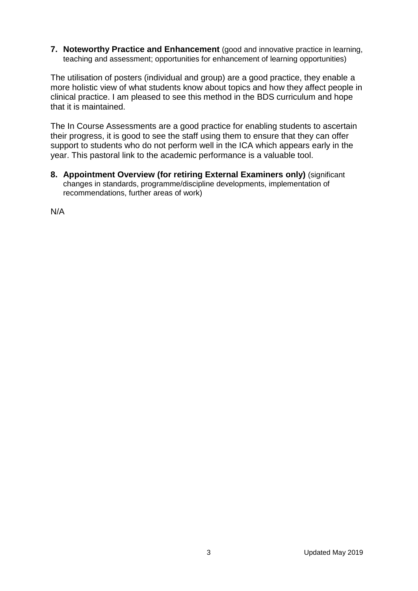**7. Noteworthy Practice and Enhancement** (good and innovative practice in learning, teaching and assessment; opportunities for enhancement of learning opportunities)

The utilisation of posters (individual and group) are a good practice, they enable a more holistic view of what students know about topics and how they affect people in clinical practice. I am pleased to see this method in the BDS curriculum and hope that it is maintained.

The In Course Assessments are a good practice for enabling students to ascertain their progress, it is good to see the staff using them to ensure that they can offer support to students who do not perform well in the ICA which appears early in the year. This pastoral link to the academic performance is a valuable tool.

**8. Appointment Overview (for retiring External Examiners only)** (significant changes in standards, programme/discipline developments, implementation of recommendations, further areas of work)

N/A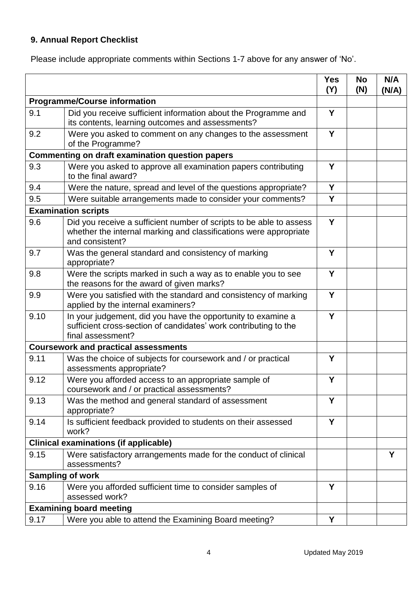# **9. Annual Report Checklist**

Please include appropriate comments within Sections 1-7 above for any answer of 'No'.

|                                                        |                                                                                                                                                             | <b>Yes</b><br>(Y) | <b>No</b><br>(N) | N/A<br>(N/A) |
|--------------------------------------------------------|-------------------------------------------------------------------------------------------------------------------------------------------------------------|-------------------|------------------|--------------|
| <b>Programme/Course information</b>                    |                                                                                                                                                             |                   |                  |              |
| 9.1                                                    | Did you receive sufficient information about the Programme and<br>its contents, learning outcomes and assessments?                                          | Y                 |                  |              |
| 9.2                                                    | Were you asked to comment on any changes to the assessment<br>of the Programme?                                                                             | Y                 |                  |              |
| <b>Commenting on draft examination question papers</b> |                                                                                                                                                             |                   |                  |              |
| 9.3                                                    | Were you asked to approve all examination papers contributing<br>to the final award?                                                                        | Y                 |                  |              |
| 9.4                                                    | Were the nature, spread and level of the questions appropriate?                                                                                             | Y                 |                  |              |
| 9.5                                                    | Were suitable arrangements made to consider your comments?                                                                                                  | Y                 |                  |              |
| <b>Examination scripts</b>                             |                                                                                                                                                             |                   |                  |              |
| 9.6                                                    | Did you receive a sufficient number of scripts to be able to assess<br>whether the internal marking and classifications were appropriate<br>and consistent? | Y                 |                  |              |
| 9.7                                                    | Was the general standard and consistency of marking<br>appropriate?                                                                                         | Y                 |                  |              |
| 9.8                                                    | Were the scripts marked in such a way as to enable you to see<br>the reasons for the award of given marks?                                                  | Y                 |                  |              |
| 9.9                                                    | Were you satisfied with the standard and consistency of marking<br>applied by the internal examiners?                                                       | Y                 |                  |              |
| 9.10                                                   | In your judgement, did you have the opportunity to examine a<br>sufficient cross-section of candidates' work contributing to the<br>final assessment?       | Y                 |                  |              |
|                                                        | <b>Coursework and practical assessments</b>                                                                                                                 |                   |                  |              |
| 9.11                                                   | Was the choice of subjects for coursework and / or practical<br>assessments appropriate?                                                                    | Y                 |                  |              |
| 9.12                                                   | Were you afforded access to an appropriate sample of<br>coursework and / or practical assessments?                                                          | Y                 |                  |              |
| 9.13                                                   | Was the method and general standard of assessment<br>appropriate?                                                                                           | Y                 |                  |              |
| 9.14                                                   | Is sufficient feedback provided to students on their assessed<br>work?                                                                                      | Y                 |                  |              |
| <b>Clinical examinations (if applicable)</b>           |                                                                                                                                                             |                   |                  |              |
| 9.15                                                   | Were satisfactory arrangements made for the conduct of clinical<br>assessments?                                                                             |                   |                  | Y            |
| <b>Sampling of work</b>                                |                                                                                                                                                             |                   |                  |              |
| 9.16                                                   | Were you afforded sufficient time to consider samples of<br>assessed work?                                                                                  | Y                 |                  |              |
|                                                        | <b>Examining board meeting</b>                                                                                                                              |                   |                  |              |
| 9.17                                                   | Were you able to attend the Examining Board meeting?                                                                                                        | Υ                 |                  |              |